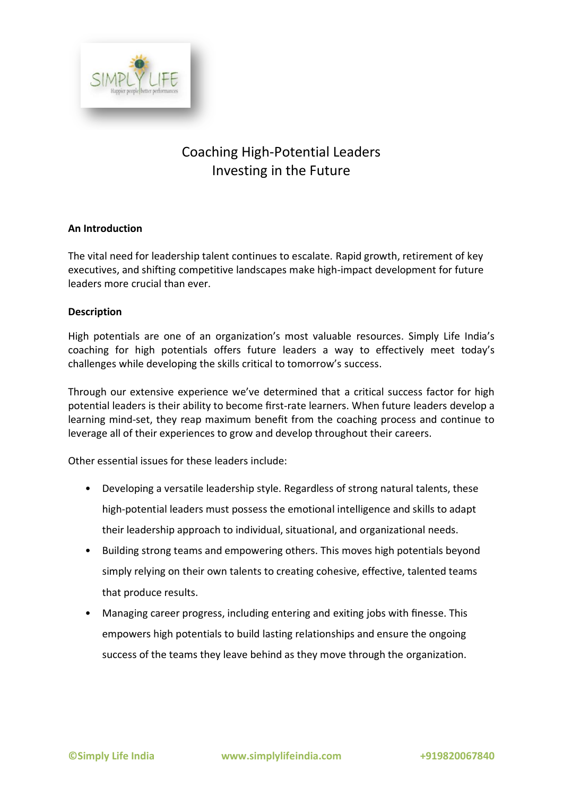

# Coaching High-Potential Leaders Investing in the Future

# **An Introduction**

The vital need for leadership talent continues to escalate. Rapid growth, retirement of key executives, and shifting competitive landscapes make high-impact development for future leaders more crucial than ever.

## **Description**

High potentials are one of an organization's most valuable resources. Simply Life India's coaching for high potentials offers future leaders a way to effectively meet today's challenges while developing the skills critical to tomorrow's success.

Through our extensive experience we've determined that a critical success factor for high potential leaders is their ability to become first-rate learners. When future leaders develop a learning mind-set, they reap maximum benefit from the coaching process and continue to leverage all of their experiences to grow and develop throughout their careers.

Other essential issues for these leaders include:

- Developing a versatile leadership style. Regardless of strong natural talents, these high-potential leaders must possess the emotional intelligence and skills to adapt their leadership approach to individual, situational, and organizational needs.
- Building strong teams and empowering others. This moves high potentials beyond simply relying on their own talents to creating cohesive, effective, talented teams that produce results.
- Managing career progress, including entering and exiting jobs with finesse. This empowers high potentials to build lasting relationships and ensure the ongoing success of the teams they leave behind as they move through the organization.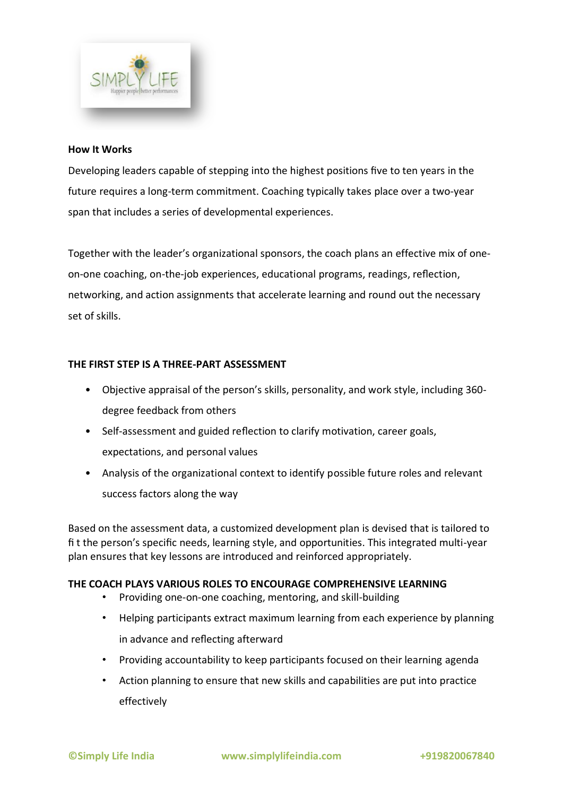

#### **How It Works**

Developing leaders capable of stepping into the highest positions five to ten years in the future requires a long-term commitment. Coaching typically takes place over a two-year span that includes a series of developmental experiences.

Together with the leader's organizational sponsors, the coach plans an effective mix of oneon-one coaching, on-the-job experiences, educational programs, readings, reflection, networking, and action assignments that accelerate learning and round out the necessary set of skills.

## **THE FIRST STEP IS A THREE-PART ASSESSMENT**

- Objective appraisal of the person's skills, personality, and work style, including 360 degree feedback from others
- Self-assessment and guided reflection to clarify motivation, career goals, expectations, and personal values
- Analysis of the organizational context to identify possible future roles and relevant success factors along the way

Based on the assessment data, a customized development plan is devised that is tailored to fi t the person's specific needs, learning style, and opportunities. This integrated multi-year plan ensures that key lessons are introduced and reinforced appropriately.

## **THE COACH PLAYS VARIOUS ROLES TO ENCOURAGE COMPREHENSIVE LEARNING**

- Providing one-on-one coaching, mentoring, and skill-building
- Helping participants extract maximum learning from each experience by planning in advance and reflecting afterward
- Providing accountability to keep participants focused on their learning agenda
- Action planning to ensure that new skills and capabilities are put into practice effectively